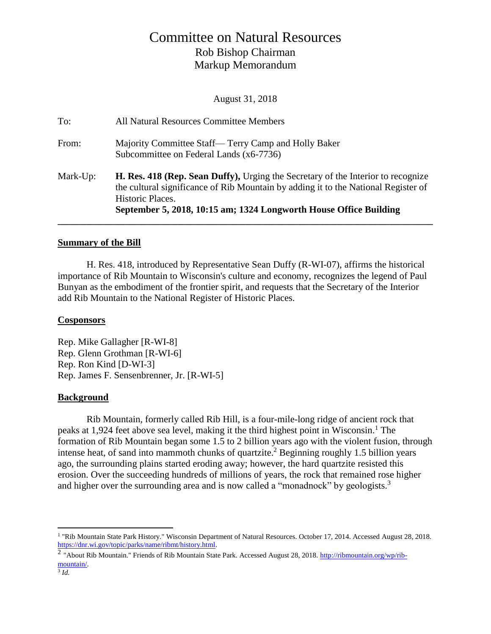# Committee on Natural Resources Rob Bishop Chairman Markup Memorandum

August 31, 2018

| To:<br>From: | All Natural Resources Committee Members<br>Majority Committee Staff— Terry Camp and Holly Baker                                                                                            |
|--------------|--------------------------------------------------------------------------------------------------------------------------------------------------------------------------------------------|
|              | Subcommittee on Federal Lands (x6-7736)                                                                                                                                                    |
| Mark-Up:     | H. Res. 418 (Rep. Sean Duffy), Urging the Secretary of the Interior to recognize<br>the cultural significance of Rib Mountain by adding it to the National Register of<br>Historic Places. |
|              | September 5, 2018, 10:15 am; 1324 Longworth House Office Building                                                                                                                          |

#### **Summary of the Bill**

H. Res. 418, introduced by Representative Sean Duffy (R-WI-07), affirms the historical importance of Rib Mountain to Wisconsin's culture and economy, recognizes the legend of Paul Bunyan as the embodiment of the frontier spirit, and requests that the Secretary of the Interior add Rib Mountain to the National Register of Historic Places.

#### **Cosponsors**

Rep. Mike Gallagher [R-WI-8] Rep. Glenn Grothman [R-WI-6] Rep. Ron Kind [D-WI-3] Rep. James F. Sensenbrenner, Jr. [R-WI-5]

#### **Background**

Rib Mountain, formerly called Rib Hill, is a four-mile-long ridge of ancient rock that peaks at 1,924 feet above sea level, making it the third highest point in Wisconsin.<sup>1</sup> The formation of Rib Mountain began some 1.5 to 2 billion years ago with the violent fusion, through intense heat, of sand into mammoth chunks of quartzite.<sup>2</sup> Beginning roughly 1.5 billion years ago, the surrounding plains started eroding away; however, the hard quartzite resisted this erosion. Over the succeeding hundreds of millions of years, the rock that remained rose higher and higher over the surrounding area and is now called a "monadnock" by geologists.<sup>3</sup>

 $\overline{a}$ 

<sup>&</sup>lt;sup>1</sup> "Rib Mountain State Park History." Wisconsin Department of Natural Resources. October 17, 2014. Accessed August 28, 2018. [https://dnr.wi.gov/topic/parks/name/ribmt/history.html.](https://dnr.wi.gov/topic/parks/name/ribmt/history.html)

<sup>&</sup>lt;sup>2</sup> "About Rib Mountain." Friends of Rib Mountain State Park. Accessed August 28, 2018. [http://ribmountain.org/wp/rib](http://ribmountain.org/wp/rib-mountain/)[mountain/.](http://ribmountain.org/wp/rib-mountain/)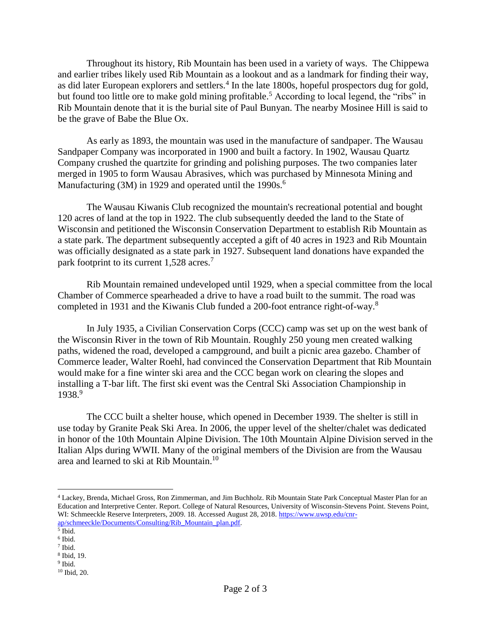Throughout its history, Rib Mountain has been used in a variety of ways. The Chippewa and earlier tribes likely used Rib Mountain as a lookout and as a landmark for finding their way, as did later European explorers and settlers.<sup>4</sup> In the late 1800s, hopeful prospectors dug for gold, but found too little ore to make gold mining profitable.<sup>5</sup> According to local legend, the "ribs" in Rib Mountain denote that it is the burial site of Paul Bunyan. The nearby Mosinee Hill is said to be the grave of Babe the Blue Ox.

As early as 1893, the mountain was used in the manufacture of sandpaper. The Wausau Sandpaper Company was incorporated in 1900 and built a factory. In 1902, Wausau Quartz Company crushed the quartzite for grinding and polishing purposes. The two companies later merged in 1905 to form Wausau Abrasives, which was purchased by Minnesota Mining and Manufacturing  $(3M)$  in 1929 and operated until the 1990s.<sup>6</sup>

The Wausau Kiwanis Club recognized the mountain's recreational potential and bought 120 acres of land at the top in 1922. The club subsequently deeded the land to the State of Wisconsin and petitioned the Wisconsin Conservation Department to establish Rib Mountain as a state park. The department subsequently accepted a gift of 40 acres in 1923 and Rib Mountain was officially designated as a state park in 1927. Subsequent land donations have expanded the park footprint to its current 1,528 acres.<sup>7</sup>

Rib Mountain remained undeveloped until 1929, when a special committee from the local Chamber of Commerce spearheaded a drive to have a road built to the summit. The road was completed in 1931 and the Kiwanis Club funded a 200-foot entrance right-of-way.<sup>8</sup>

In July 1935, a Civilian Conservation Corps (CCC) camp was set up on the west bank of the Wisconsin River in the town of Rib Mountain. Roughly 250 young men created walking paths, widened the road, developed a campground, and built a picnic area gazebo. Chamber of Commerce leader, Walter Roehl, had convinced the Conservation Department that Rib Mountain would make for a fine winter ski area and the CCC began work on clearing the slopes and installing a T-bar lift. The first ski event was the Central Ski Association Championship in 1938.9

The CCC built a shelter house, which opened in December 1939. The shelter is still in use today by Granite Peak Ski Area. In 2006, the upper level of the shelter/chalet was dedicated in honor of the 10th Mountain Alpine Division. The 10th Mountain Alpine Division served in the Italian Alps during WWII. Many of the original members of the Division are from the Wausau area and learned to ski at Rib Mountain.<sup>10</sup>

 $\overline{a}$ 

7 Ibid.

<sup>4</sup> Lackey, Brenda, Michael Gross, Ron Zimmerman, and Jim Buchholz. Rib Mountain State Park Conceptual Master Plan for an Education and Interpretive Center. Report. College of Natural Resources, University of Wisconsin-Stevens Point. Stevens Point, WI: Schmeeckle Reserve Interpreters, 2009. 18. Accessed August 28, 2018[. https://www.uwsp.edu/cnr](https://www.uwsp.edu/cnr-ap/schmeeckle/Documents/Consulting/Rib_Mountain_plan.pdf)[ap/schmeeckle/Documents/Consulting/Rib\\_Mountain\\_plan.pdf.](https://www.uwsp.edu/cnr-ap/schmeeckle/Documents/Consulting/Rib_Mountain_plan.pdf)

<sup>5</sup> Ibid.

<sup>6</sup> Ibid.

<sup>8</sup> Ibid, 19.

<sup>&</sup>lt;sup>9</sup> Ibid.

<sup>10</sup> Ibid, 20.